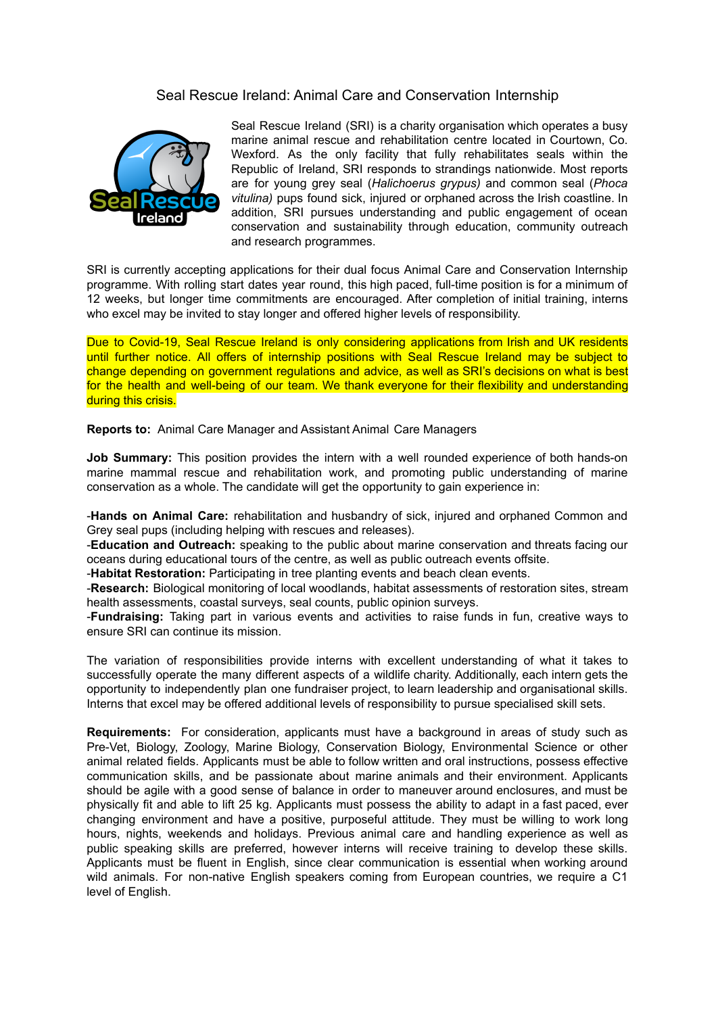## Seal Rescue Ireland: Animal Care and Conservation Internship



Seal Rescue Ireland (SRI) is a charity organisation which operates a busy marine animal rescue and rehabilitation centre located in Courtown, Co. Wexford. As the only facility that fully rehabilitates seals within the Republic of Ireland, SRI responds to strandings nationwide. Most reports are for young grey seal (*Halichoerus grypus)* and common seal (*Phoca vitulina)* pups found sick, injured or orphaned across the Irish coastline. In addition, SRI pursues understanding and public engagement of ocean conservation and sustainability through education, community outreach and research programmes.

SRI is currently accepting applications for their dual focus Animal Care and Conservation Internship programme. With rolling start dates year round, this high paced, full-time position is for a minimum of 12 weeks, but longer time commitments are encouraged. After completion of initial training, interns who excel may be invited to stay longer and offered higher levels of responsibility.

Due to Covid-19, Seal Rescue Ireland is only considering applications from Irish and UK residents until further notice. All offers of internship positions with Seal Rescue Ireland may be subject to change depending on government regulations and advice, as well as SRI's decisions on what is best for the health and well-being of our team. We thank everyone for their flexibility and understanding during this crisis.

**Reports to:** Animal Care Manager and Assistant Animal Care Managers

**Job Summary:** This position provides the intern with a well rounded experience of both hands-on marine mammal rescue and rehabilitation work, and promoting public understanding of marine conservation as a whole. The candidate will get the opportunity to gain experience in:

-**Hands on Animal Care:** rehabilitation and husbandry of sick, injured and orphaned Common and Grey seal pups (including helping with rescues and releases).

-**Education and Outreach:** speaking to the public about marine conservation and threats facing our oceans during educational tours of the centre, as well as public outreach events offsite.

-**Habitat Restoration:** Participating in tree planting events and beach clean events.

-**Research:** Biological monitoring of local woodlands, habitat assessments of restoration sites, stream health assessments, coastal surveys, seal counts, public opinion surveys.

-**Fundraising:** Taking part in various events and activities to raise funds in fun, creative ways to ensure SRI can continue its mission.

The variation of responsibilities provide interns with excellent understanding of what it takes to successfully operate the many different aspects of a wildlife charity. Additionally, each intern gets the opportunity to independently plan one fundraiser project, to learn leadership and organisational skills. Interns that excel may be offered additional levels of responsibility to pursue specialised skill sets.

**Requirements:** For consideration, applicants must have a background in areas of study such as Pre-Vet, Biology, Zoology, Marine Biology, Conservation Biology, Environmental Science or other animal related fields. Applicants must be able to follow written and oral instructions, possess effective communication skills, and be passionate about marine animals and their environment. Applicants should be agile with a good sense of balance in order to maneuver around enclosures, and must be physically fit and able to lift 25 kg. Applicants must possess the ability to adapt in a fast paced, ever changing environment and have a positive, purposeful attitude. They must be willing to work long hours, nights, weekends and holidays. Previous animal care and handling experience as well as public speaking skills are preferred, however interns will receive training to develop these skills. Applicants must be fluent in English, since clear communication is essential when working around wild animals. For non-native English speakers coming from European countries, we require a C1 level of English.